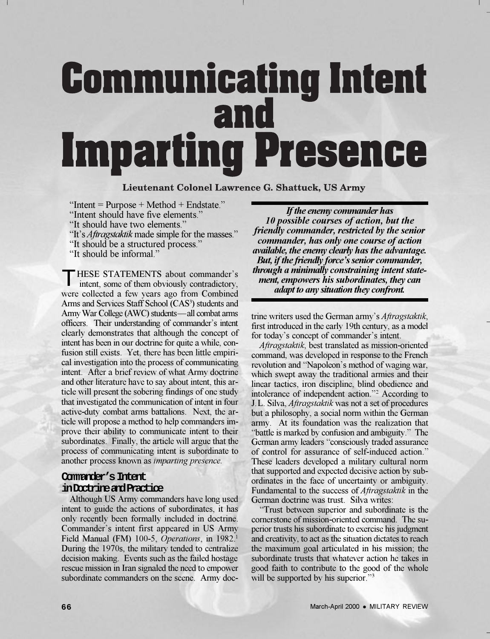# **Communicating Intent** and **Imparting Presence**

Lieutenant Colonel Lawrence G. Shattuck, US Army

 $\text{``Internet} = \text{Purpose} + \text{Method} + \text{Endstate."}$ 

"Intent should have five elements."

"It should have two elements."

"It's *Aftragstaktik* made simple for the masses."

- "It should be a structured process."
- "It should be informal."

THESE STATEMENTS about commander's  $\perp$  intent, some of them obviously contradictory, were collected a few years ago from Combined Arms and Services Staff School (CAS<sup>3</sup>) students and Army War College (AWC) students—all combat arms officers. Their understanding of commander's intent clearly demonstrates that although the concept of intent has been in our doctrine for quite a while, confusion still exists. Yet, there has been little empirical investigation into the process of communicating intent. After a brief review of what Army doctrine and other literature have to say about intent, this article will present the sobering findings of one study that investigated the communication of intent in four active-duty combat arms battalions. Next, the article will propose a method to help commanders improve their ability to communicate intent to their subordinates. Finally, the article will argue that the process of communicating intent is subordinate to another process known as *imparting presence.*

### **Commander's Intent in Doctrine and Practice**

Although US Army commanders have long used intent to guide the actions of subordinates, it has only recently been formally included in doctrine. Commander's intent first appeared in US Army Field Manual (FM) 100-5, *Operations*, in 1982.<sup>1</sup> During the 1970s, the military tended to centralize decision making. Events such as the failed hostage rescue mission in Iran signaled the need to empower subordinate commanders on the scene. Army doc-

*If the enemy commander has 10 possible courses of action, but the friendly commander, restricted by the senior commander, has only one course of action available, the enemy clearly has the advantage. But, if the friendly force's senior commander, through a minimally constraining intent statement, empowers his subordinates, they can adapt to any situation they confront.*

trine writers used the German army's *Aftragstaktik*, first introduced in the early 19th century, as a model for today's concept of commander's intent.

*Aftragstaktik*, best translated as mission-oriented command, was developed in response to the French revolution and "Napoleon's method of waging war, which swept away the traditional armies and their linear tactics, iron discipline, blind obedience and intolerance of independent action."<sup>2</sup> According to J.L. Silva, *Aftragstaktik* was not a set of procedures but a philosophy, a social norm within the German army. At its foundation was the realization that battle is marked by confusion and ambiguity. The German army leaders "consciously traded assurance of control for assurance of self-induced action. These leaders developed a military cultural norm that supported and expected decisive action by subordinates in the face of uncertainty or ambiguity. Fundamental to the success of *Aftragstaktik* in the German doctrine was trust. Silva writes:

Trust between superior and subordinate is the cornerstone of mission-oriented command. The superior trusts his subordinate to exercise his judgment and creativity, to act as the situation dictates to reach the maximum goal articulated in his mission; the subordinate trusts that whatever action he takes in good faith to contribute to the good of the whole will be supported by his superior."<sup>3</sup>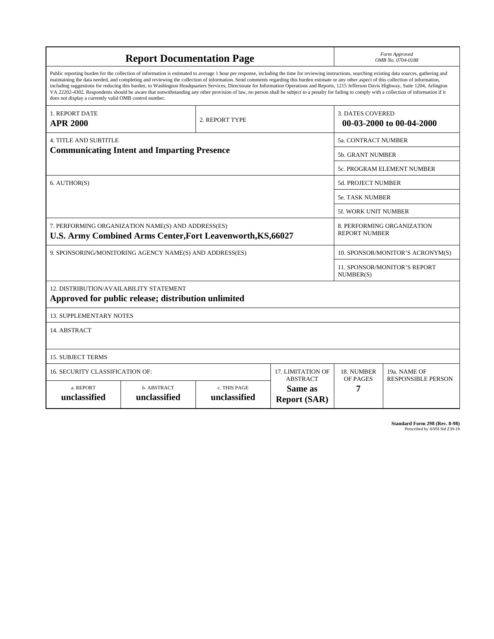| <b>Report Documentation Page</b>                                                                                                                                                                                                                                                                                                                                                                                                                                                                                                                                                                                                                                                                                                                                                                                                                                   |                             |                              |                                      |                                                     | Form Approved<br>OMB No. 0704-0188                 |  |
|--------------------------------------------------------------------------------------------------------------------------------------------------------------------------------------------------------------------------------------------------------------------------------------------------------------------------------------------------------------------------------------------------------------------------------------------------------------------------------------------------------------------------------------------------------------------------------------------------------------------------------------------------------------------------------------------------------------------------------------------------------------------------------------------------------------------------------------------------------------------|-----------------------------|------------------------------|--------------------------------------|-----------------------------------------------------|----------------------------------------------------|--|
| Public reporting burden for the collection of information is estimated to average 1 hour per response, including the time for reviewing instructions, searching existing data sources, gathering and<br>maintaining the data needed, and completing and reviewing the collection of information. Send comments regarding this burden estimate or any other aspect of this collection of information,<br>including suggestions for reducing this burden, to Washington Headquarters Services, Directorate for Information Operations and Reports, 1215 Jefferson Davis Highway, Suite 1204, Arlington<br>VA 22202-4302. Respondents should be aware that notwithstanding any other provision of law, no person shall be subject to a penalty for failing to comply with a collection of information if it<br>does not display a currently valid OMB control number. |                             |                              |                                      |                                                     |                                                    |  |
| 1. REPORT DATE<br><b>APR 2000</b>                                                                                                                                                                                                                                                                                                                                                                                                                                                                                                                                                                                                                                                                                                                                                                                                                                  |                             | 2. REPORT TYPE               |                                      | <b>3. DATES COVERED</b><br>00-03-2000 to 00-04-2000 |                                                    |  |
| <b>4. TITLE AND SUBTITLE</b>                                                                                                                                                                                                                                                                                                                                                                                                                                                                                                                                                                                                                                                                                                                                                                                                                                       |                             |                              |                                      |                                                     | 5a. CONTRACT NUMBER                                |  |
| <b>Communicating Intent and Imparting Presence</b>                                                                                                                                                                                                                                                                                                                                                                                                                                                                                                                                                                                                                                                                                                                                                                                                                 |                             |                              |                                      |                                                     | 5b. GRANT NUMBER                                   |  |
|                                                                                                                                                                                                                                                                                                                                                                                                                                                                                                                                                                                                                                                                                                                                                                                                                                                                    |                             |                              |                                      |                                                     | 5c. PROGRAM ELEMENT NUMBER                         |  |
| 6. AUTHOR(S)                                                                                                                                                                                                                                                                                                                                                                                                                                                                                                                                                                                                                                                                                                                                                                                                                                                       |                             |                              |                                      |                                                     | <b>5d. PROJECT NUMBER</b>                          |  |
|                                                                                                                                                                                                                                                                                                                                                                                                                                                                                                                                                                                                                                                                                                                                                                                                                                                                    |                             |                              |                                      |                                                     | <b>5e. TASK NUMBER</b>                             |  |
|                                                                                                                                                                                                                                                                                                                                                                                                                                                                                                                                                                                                                                                                                                                                                                                                                                                                    |                             |                              |                                      |                                                     | 5f. WORK UNIT NUMBER                               |  |
| 7. PERFORMING ORGANIZATION NAME(S) AND ADDRESS(ES)<br><b>U.S. Army Combined Arms Center, Fort Leavenworth, KS, 66027</b>                                                                                                                                                                                                                                                                                                                                                                                                                                                                                                                                                                                                                                                                                                                                           |                             |                              |                                      |                                                     | 8. PERFORMING ORGANIZATION<br><b>REPORT NUMBER</b> |  |
| 9. SPONSORING/MONITORING AGENCY NAME(S) AND ADDRESS(ES)                                                                                                                                                                                                                                                                                                                                                                                                                                                                                                                                                                                                                                                                                                                                                                                                            |                             |                              |                                      |                                                     | 10. SPONSOR/MONITOR'S ACRONYM(S)                   |  |
|                                                                                                                                                                                                                                                                                                                                                                                                                                                                                                                                                                                                                                                                                                                                                                                                                                                                    |                             |                              |                                      |                                                     | 11. SPONSOR/MONITOR'S REPORT<br>NUMBER(S)          |  |
| 12. DISTRIBUTION/AVAILABILITY STATEMENT<br>Approved for public release; distribution unlimited                                                                                                                                                                                                                                                                                                                                                                                                                                                                                                                                                                                                                                                                                                                                                                     |                             |                              |                                      |                                                     |                                                    |  |
| <b>13. SUPPLEMENTARY NOTES</b>                                                                                                                                                                                                                                                                                                                                                                                                                                                                                                                                                                                                                                                                                                                                                                                                                                     |                             |                              |                                      |                                                     |                                                    |  |
| 14. ABSTRACT                                                                                                                                                                                                                                                                                                                                                                                                                                                                                                                                                                                                                                                                                                                                                                                                                                                       |                             |                              |                                      |                                                     |                                                    |  |
| <b>15. SUBJECT TERMS</b>                                                                                                                                                                                                                                                                                                                                                                                                                                                                                                                                                                                                                                                                                                                                                                                                                                           |                             |                              |                                      |                                                     |                                                    |  |
| <b>16. SECURITY CLASSIFICATION OF:</b>                                                                                                                                                                                                                                                                                                                                                                                                                                                                                                                                                                                                                                                                                                                                                                                                                             |                             |                              | 17. LIMITATION OF<br><b>ABSTRACT</b> | 18. NUMBER<br>OF PAGES                              | 19a. NAME OF<br><b>RESPONSIBLE PERSON</b>          |  |
| a. REPORT<br>unclassified                                                                                                                                                                                                                                                                                                                                                                                                                                                                                                                                                                                                                                                                                                                                                                                                                                          | b. ABSTRACT<br>unclassified | c. THIS PAGE<br>unclassified | Same as<br><b>Report (SAR)</b>       | 7                                                   |                                                    |  |

**Standard Form 298 (Rev. 8-98)**<br>Prescribed by ANSI Std Z39-18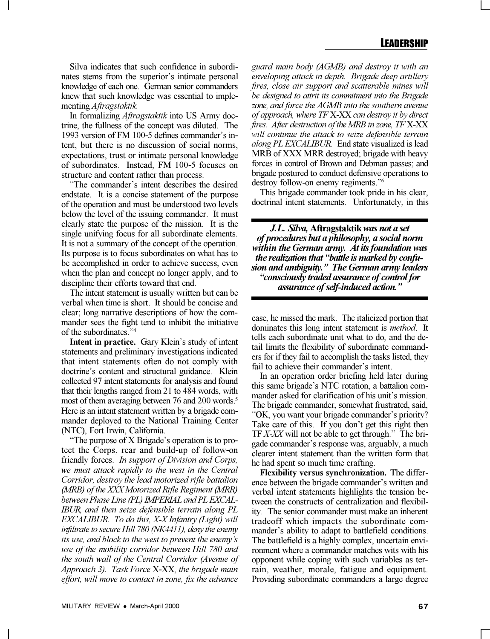Silva indicates that such confidence in subordinates stems from the superior's intimate personal knowledge of each one. German senior commanders knew that such knowledge was essential to implementing *Aftragstaktik.*

In formalizing *Aftragstaktik* into US Army doctrine, the fullness of the concept was diluted. The 1993 version of FM 100-5 defines commander's intent, but there is no discussion of social norms, expectations, trust or intimate personal knowledge of subordinates. Instead, FM 100-5 focuses on structure and content rather than process.

"The commander's intent describes the desired endstate. It is a concise statement of the purpose of the operation and must be understood two levels below the level of the issuing commander. It must clearly state the purpose of the mission. It is the single unifying focus for all subordinate elements. It is not a summary of the concept of the operation. Its purpose is to focus subordinates on what has to be accomplished in order to achieve success, even when the plan and concept no longer apply, and to discipline their efforts toward that end.

The intent statement is usually written but can be verbal when time is short. It should be concise and clear; long narrative descriptions of how the commander sees the fight tend to inhibit the initiative of the subordinates."<sup>4</sup>

**Intent in practice.** Gary Klein's study of intent statements and preliminary investigations indicated that intent statements often do not comply with doctrine's content and structural guidance. Klein collected 97 intent statements for analysis and found that their lengths ranged from 21 to 484 words, with most of them averaging between 76 and 200 words.<sup>5</sup> Here is an intent statement written by a brigade commander deployed to the National Training Center (NTC), Fort Irwin, California.

"The purpose of  $X$  Brigade's operation is to protect the Corps, rear and build-up of follow-on friendly forces. *In support of Division and Corps, we must attack rapidly to the west in the Central Corridor, destroy the lead motorized rifle battalion (MRB) of the XXX Motorized Rifle Regiment (MRR) between Phase Line (PL) IMPERIAL and PL EXCAL-IBUR, and then seize defensible terrain along PL EXCALIBUR. To do this, X-X Infantry (Light) will infiltrate to secure Hill 780 (NK4411), deny the enemy its use, and block to the west to prevent the enemy's use of the mobility corridor between Hill 780 and the south wall of the Central Corridor (Avenue of Approach 3). Task Force* X-XX, *the brigade main effort, will move to contact in zone, fix the advance*

*guard main body (AGMB) and destroy it with an enveloping attack in depth. Brigade deep artillery fires, close air support and scatterable mines will be designed to attrit its commitment into the Brigade zone, and force the AGMB into the southern avenue of approach, where TF* X-XX *can destroy it by direct fires. After destruction of the MRB in zone, TF* X-XX *will continue the attack to seize defensible terrain along PL EXCALIBUR.* End state visualized is lead MRB of XXX MRR destroyed; brigade with heavy forces in control of Brown and Debman passes; and brigade postured to conduct defensive operations to destroy follow-on enemy regiments.<sup>76</sup>

This brigade commander took pride in his clear, doctrinal intent statements. Unfortunately, in this

*J.L. Silva,* **Aftragstaktik** *was not a set of procedures but a philosophy, a social norm within the German army. At its foundation was the realization that "battle is marked by confusion and ambiguity. The German army leaders consciously traded assurance of control for assurance of self-induced action.*

case, he missed the mark. The italicized portion that dominates this long intent statement is *method*. It tells each subordinate unit what to do, and the detail limits the flexibility of subordinate commanders for if they fail to accomplish the tasks listed, they fail to achieve their commander's intent.

In an operation order briefing held later during this same brigade's NTC rotation, a battalion commander asked for clarification of his unit's mission. The brigade commander, somewhat frustrated, said, "OK, you want your brigade commander's priority? Take care of this. If you don't get this right then TF *X-XX* will not be able to get through. The brigade commander's response was, arguably, a much clearer intent statement than the written form that he had spent so much time crafting.

**Flexibility versus synchronization.** The difference between the brigade commander's written and verbal intent statements highlights the tension between the constructs of centralization and flexibility. The senior commander must make an inherent tradeoff which impacts the subordinate commander's ability to adapt to battlefield conditions. The battlefield is a highly complex, uncertain environment where a commander matches wits with his opponent while coping with such variables as terrain, weather, morale, fatigue and equipment. Providing subordinate commanders a large degree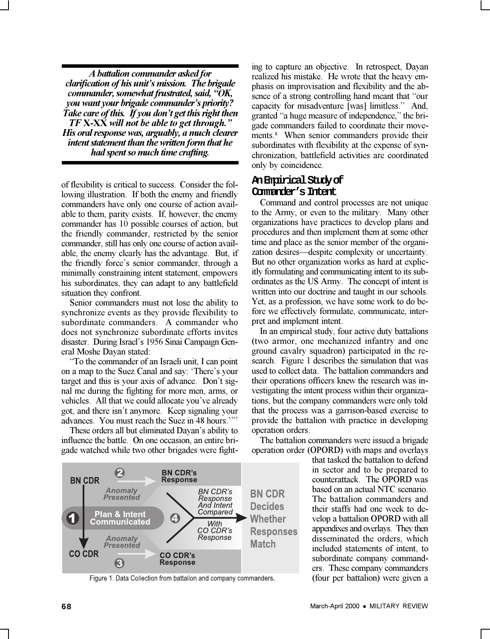*A battalion commander asked for clarification of his unit's mission. The brigade commander, somewhat frustrated, said, "OK, you want your brigade commander's priority? Take care of this. If you don't get this right then TF* **X-XX** *will not be able to get through. His oral response was, arguably, a much clearer intent statement than the written form that he had spent so much time crafting.*

of flexibility is critical to success. Consider the following illustration. If both the enemy and friendly commanders have only one course of action available to them, parity exists. If, however, the enemy commander has 10 possible courses of action, but the friendly commander, restricted by the senior commander, still has only one course of action available, the enemy clearly has the advantage. But, if the friendly force's senior commander, through a minimally constraining intent statement, empowers his subordinates, they can adapt to any battlefield situation they confront.

Senior commanders must not lose the ability to synchronize events as they provide flexibility to subordinate commanders. A commander who does not synchronize subordinate efforts invites disaster. During Israel's 1956 Sinai Campaign General Moshe Dayan stated:

To the commander of an Israeli unit, I can point on a map to the Suez Canal and say: 'There's your target and this is your axis of advance. Don't signal me during the fighting for more men, arms, or vehicles. All that we could allocate you've already got, and there isn't anymore. Keep signaling your advances. You must reach the Suez in 48 hours.<sup>777</sup>

These orders all but eliminated Dayan's ability to influence the battle. On one occasion, an entire brigade watched while two other brigades were fight-



Figure 1. Data Collection from battalion and company commanders.

ing to capture an objective. In retrospect, Dayan realized his mistake. He wrote that the heavy emphasis on improvisation and flexibility and the absence of a strong controlling hand meant that "our capacity for misadventure [was] limitless." And, granted "a huge measure of independence," the brigade commanders failed to coordinate their movements.<sup>8</sup> When senior commanders provide their subordinates with flexibility at the expense of synchronization, battlefield activities are coordinated only by coincidence.

#### **An Empirical Study of Commander's Intent**

Command and control processes are not unique to the Army, or even to the military. Many other organizations have practices to develop plans and procedures and then implement them at some other time and place as the senior member of the organization desires—despite complexity or uncertainty. But no other organization works as hard at explicitly formulating and communicating intent to its subordinates as the US Army. The concept of intent is written into our doctrine and taught in our schools. Yet, as a profession, we have some work to do before we effectively formulate, communicate, interpret and implement intent.

In an empirical study, four active duty battalions (two armor, one mechanized infantry and one ground cavalry squadron) participated in the research. Figure 1 describes the simulation that was used to collect data. The battalion commanders and their operations officers knew the research was investigating the intent process within their organizations, but the company commanders were only told that the process was a garrison-based exercise to provide the battalion with practice in developing operation orders.

The battalion commanders were issued a brigade operation order (OPORD) with maps and overlays

that tasked the battalion to defend in sector and to be prepared to counterattack. The OPORD was based on an actual NTC scenario. The battalion commanders and their staffs had one week to develop a battalion OPORD with all appendixes and overlays. They then disseminated the orders, which included statements of intent, to subordinate company commanders. These company commanders (four per battalion) were given a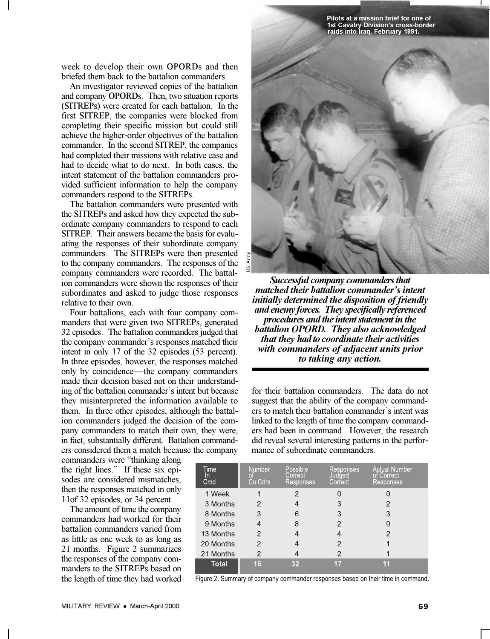**Pilots at a mission brief for one of 1st Cavalry Division's cross-border raids into Iraq, February 1991.**

week to develop their own OPORDs and then briefed them back to the battalion commanders.

An investigator reviewed copies of the battalion and company OPORDs. Then, two situation reports (SITREPs) were created for each battalion. In the first SITREP, the companies were blocked from completing their specific mission but could still achieve the higher-order objectives of the battalion commander. In the second SITREP, the companies had completed their missions with relative ease and had to decide what to do next. In both cases, the intent statement of the battalion commanders provided sufficient information to help the company commanders respond to the SITREPs.

The battalion commanders were presented with the SITREPs and asked how they expected the subordinate company commanders to respond to each SITREP. Their answers became the basis for evaluating the responses of their subordinate company commanders. The SITREPs were then presented to the company commanders. The responses of the company commanders were recorded. The battalion commanders were shown the responses of their subordinates and asked to judge those responses relative to their own.

Four battalions, each with four company commanders that were given two SITREPs, generated 32 episodes. The battalion commanders judged that the company commander's responses matched their intent in only 17 of the 32 episodes (53 percent). In three episodes, however, the responses matched only by coincidence—the company commanders made their decision based not on their understanding of the battalion commander's intent but because they misinterpreted the information available to them. In three other episodes, although the battalion commanders judged the decision of the company commanders to match their own, they were, in fact, substantially different. Battalion commanders considered them a match because the company

commanders were "thinking along the right lines." If these six episodes are considered mismatches, then the responses matched in only 11of 32 episodes, or 34 percent.

The amount of time the company commanders had worked for their battalion commanders varied from as little as one week to as long as 21 months. Figure 2 summarizes the responses of the company commanders to the SITREPs based on the length of time they had worked



*Successful company commanders that matched their battalion commander's intent initially determined the disposition of friendly and enemy forces. They specifically referenced procedures and the intent statement in the battalion OPORD. They also acknowledged that they had to coordinate their activities with commanders of adjacent units prior to taking any action.*

for their battalion commanders. The data do not suggest that the ability of the company commanders to match their battalion commander's intent was linked to the length of time the company commanders had been in command. However, the research did reveal several interesting patterns in the performance of subordinate commanders.

| Time<br>ın<br>Cmd | <b>Number</b><br>О<br>Co Cdrs | Possible<br>Correct<br>Responses | Responses<br>Judged<br>Correct | <b>Actual Number</b><br>of Correct<br>Responses |
|-------------------|-------------------------------|----------------------------------|--------------------------------|-------------------------------------------------|
| 1 Week            |                               | 2                                |                                |                                                 |
| 3 Months          | 2                             | 4                                | 3                              | 2                                               |
| 8 Months          | 3                             | 6                                | 3                              | 3                                               |
| 9 Months          |                               | 8                                | 2                              |                                                 |
| 13 Months         | 2                             | 4                                | 4                              | 2                                               |
| 20 Months         | 2                             | 4                                | 2                              |                                                 |
| 21 Months         | $\overline{2}$                |                                  | 2                              |                                                 |
| Total             | 16                            | 32                               |                                |                                                 |

Figure 2. Summary of company commander responses based on their time in command.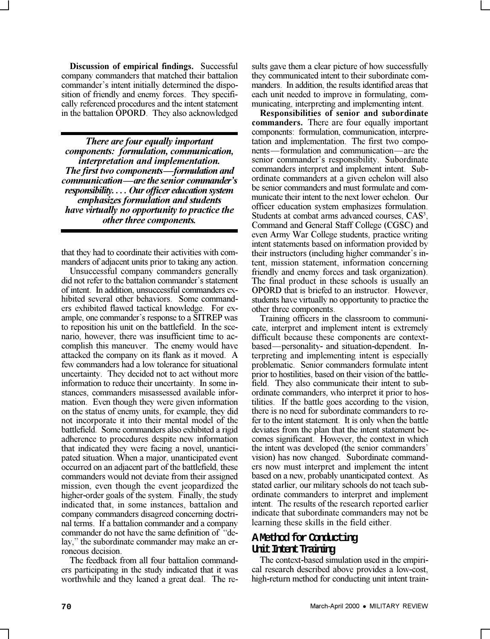**Discussion of empirical findings.** Successful company commanders that matched their battalion commander's intent initially determined the disposition of friendly and enemy forces. They specifically referenced procedures and the intent statement in the battalion OPORD. They also acknowledged

*There are four equally important components: formulation, communication, interpretation and implementation. The first two components—formulation and communication—are the senior commander's responsibility. . . . Our officer education system emphasizes formulation and students have virtually no opportunity to practice the other three components.*

that they had to coordinate their activities with commanders of adjacent units prior to taking any action.

Unsuccessful company commanders generally did not refer to the battalion commander's statement of intent. In addition, unsuccessful commanders exhibited several other behaviors. Some commanders exhibited flawed tactical knowledge. For example, one commander's response to a SITREP was to reposition his unit on the battlefield. In the scenario, however, there was insufficient time to accomplish this maneuver. The enemy would have attacked the company on its flank as it moved. A few commanders had a low tolerance for situational uncertainty. They decided not to act without more information to reduce their uncertainty. In some instances, commanders misassessed available information. Even though they were given information on the status of enemy units, for example, they did not incorporate it into their mental model of the battlefield. Some commanders also exhibited a rigid adherence to procedures despite new information that indicated they were facing a novel, unanticipated situation. When a major, unanticipated event occurred on an adjacent part of the battlefield, these commanders would not deviate from their assigned mission, even though the event jeopardized the higher-order goals of the system. Finally, the study indicated that, in some instances, battalion and company commanders disagreed concerning doctrinal terms. If a battalion commander and a company commander do not have the same definition of "delay," the subordinate commander may make an erroneous decision.

The feedback from all four battalion commanders participating in the study indicated that it was worthwhile and they leaned a great deal. The results gave them a clear picture of how successfully they communicated intent to their subordinate commanders. In addition, the results identified areas that each unit needed to improve in formulating, communicating, interpreting and implementing intent.

**Responsibilities of senior and subordinate commanders.** There are four equally important components: formulation, communication, interpretation and implementation. The first two components—formulation and communication—are the senior commander's responsibility. Subordinate commanders interpret and implement intent. Subordinate commanders at a given echelon will also be senior commanders and must formulate and communicate their intent to the next lower echelon. Our officer education system emphasizes formulation. Students at combat arms advanced courses, CAS<sup>3</sup>, Command and General Staff College (CGSC) and even Army War College students, practice writing intent statements based on information provided by their instructors (including higher commander's intent, mission statement, information concerning friendly and enemy forces and task organization). The final product in these schools is usually an OPORD that is briefed to an instructor. However, students have virtually no opportunity to practice the other three components.

Training officers in the classroom to communicate, interpret and implement intent is extremely difficult because these components are contextbased—personality- and situation-dependent. Interpreting and implementing intent is especially problematic. Senior commanders formulate intent prior to hostilities, based on their vision of the battlefield. They also communicate their intent to subordinate commanders, who interpret it prior to hostilities. If the battle goes according to the vision, there is no need for subordinate commanders to refer to the intent statement. It is only when the battle deviates from the plan that the intent statement becomes significant. However, the context in which the intent was developed (the senior commanders vision) has now changed. Subordinate commanders now must interpret and implement the intent based on a new, probably unanticipated context. As stated earlier, our military schools do not teach subordinate commanders to interpret and implement intent. The results of the research reported earlier indicate that subordinate commanders may not be learning these skills in the field either.

## **A Method for Conducting Unit Intent Training**

The context-based simulation used in the empirical research described above provides a low-cost, high-return method for conducting unit intent train-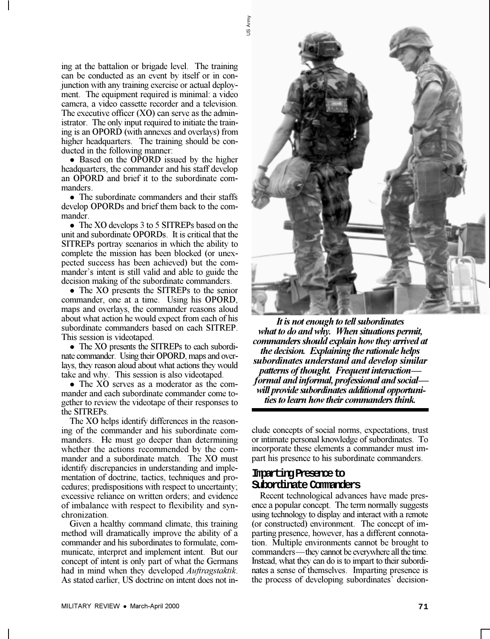ing at the battalion or brigade level. The training can be conducted as an event by itself or in conjunction with any training exercise or actual deployment. The equipment required is minimal: a video camera, a video cassette recorder and a television. The executive officer (XO) can serve as the administrator. The only input required to initiate the training is an OPORD (with annexes and overlays) from higher headquarters. The training should be conducted in the following manner:

• Based on the OPORD issued by the higher headquarters, the commander and his staff develop an OPORD and brief it to the subordinate commanders.

• The subordinate commanders and their staffs develop OPORDs and brief them back to the commander.

• The XO develops 3 to 5 SITREPs based on the unit and subordinate OPORDs. It is critical that the SITREPs portray scenarios in which the ability to complete the mission has been blocked (or unexpected success has been achieved) but the commander's intent is still valid and able to guide the decision making of the subordinate commanders.

• The XO presents the SITREPs to the senior commander, one at a time. Using his OPORD, maps and overlays, the commander reasons aloud about what action he would expect from each of his subordinate commanders based on each SITREP. This session is videotaped.

• The XO presents the SITREPs to each subordinate commander. Using their OPORD, maps and overlays, they reason aloud about what actions they would take and why. This session is also videotaped.

• The XO serves as a moderator as the commander and each subordinate commander come together to review the videotape of their responses to the SITREPs.

The XO helps identify differences in the reasoning of the commander and his subordinate commanders. He must go deeper than determining whether the actions recommended by the commander and a subordinate match. The XO must identify discrepancies in understanding and implementation of doctrine, tactics, techniques and procedures; predispositions with respect to uncertainty; excessive reliance on written orders; and evidence of imbalance with respect to flexibility and synchronization.

Given a healthy command climate, this training method will dramatically improve the ability of a commander and his subordinates to formulate, communicate, interpret and implement intent. But our concept of intent is only part of what the Germans had in mind when they developed *Auftragstaktik*. As stated earlier, US doctrine on intent does not in-



*It is not enough to tell subordinates what to do and why. When situations permit, commanders should explain how they arrived at the decision. Explaining the rationale helps subordinates understand and develop similar patterns of thought. Frequent interaction formal and informal, professional and social will provide subordinates additional opportunities to learn how their commanders think.*

clude concepts of social norms, expectations, trust or intimate personal knowledge of subordinates. To incorporate these elements a commander must impart his presence to his subordinate commanders.

#### **Imparting Presence to Subordinate Commanders**

Recent technological advances have made presence a popular concept. The term normally suggests using technology to display and interact with a remote (or constructed) environment. The concept of imparting presence, however, has a different connotation. Multiple environments cannot be brought to commanders—they cannot be everywhere all the time. Instead, what they can do is to impart to their subordinates a sense of themselves. Imparting presence is the process of developing subordinates' decision-